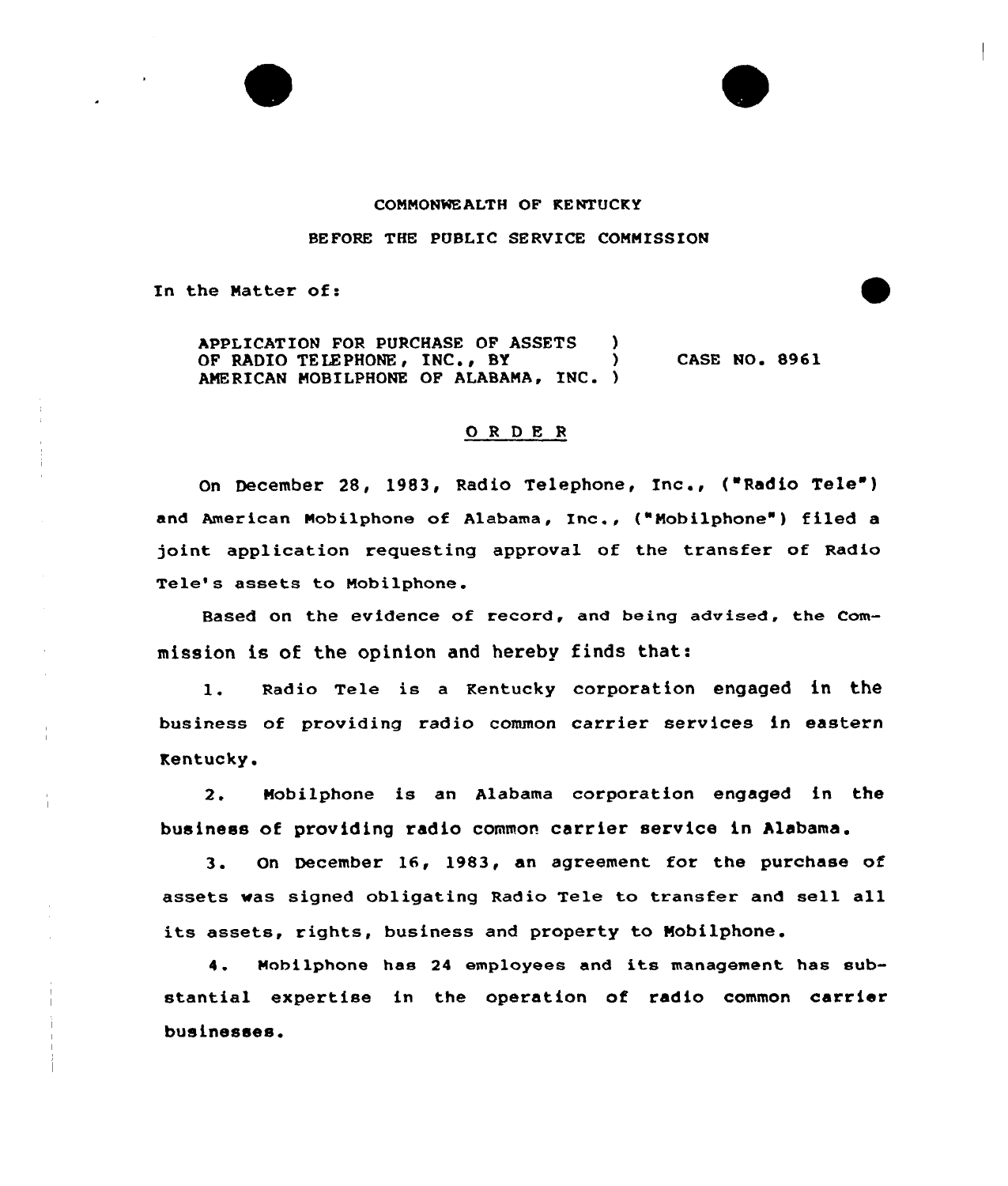## COMMONWEALTH OF KENTUCKY

BEFORE THE PUBLIC SERUICE COMMISSION

In the Matter of:

APPLICATION FOR PURCHASE OF ASSETS )<br>OF RADIO TELEPHONE, INC., BY OF RADIO TELEPHONE, INC., BY AMERICAN MOBILPHONE OF ALABAMA, INC. ) CASE NO. 8961

## 0 <sup>R</sup> DE <sup>R</sup> Inc.,

On December 28, 1983, Radio Telephone, Inc., ("Radio Tele") and American Mobilphone of Alabama, Inc., ("Mobilphone") filed a joint application requesting approval of the transfer of Radio Tele's assets to Nobilphone.

Based on the evidence of record, and being advised, the Commission is of the opinion and hereby finds that:

1. Radio Tele is a Kentucky corporation engaged in the business of providing radio common carrier services in eastern Kentucky.

2. Mobilphone is an Alabama corporation engaged in the business of providing radio common carrier service in Alabama.

3. On December 16, 1983, an agreement for the purchase of assets vas signed obligating Radio Tele to transfer and sell all its assets, rights, business and property to Mobilphone.

4. Nohilphone has <sup>24</sup> employees and its management has substantial expertise in the operation of radio common carrier businesses.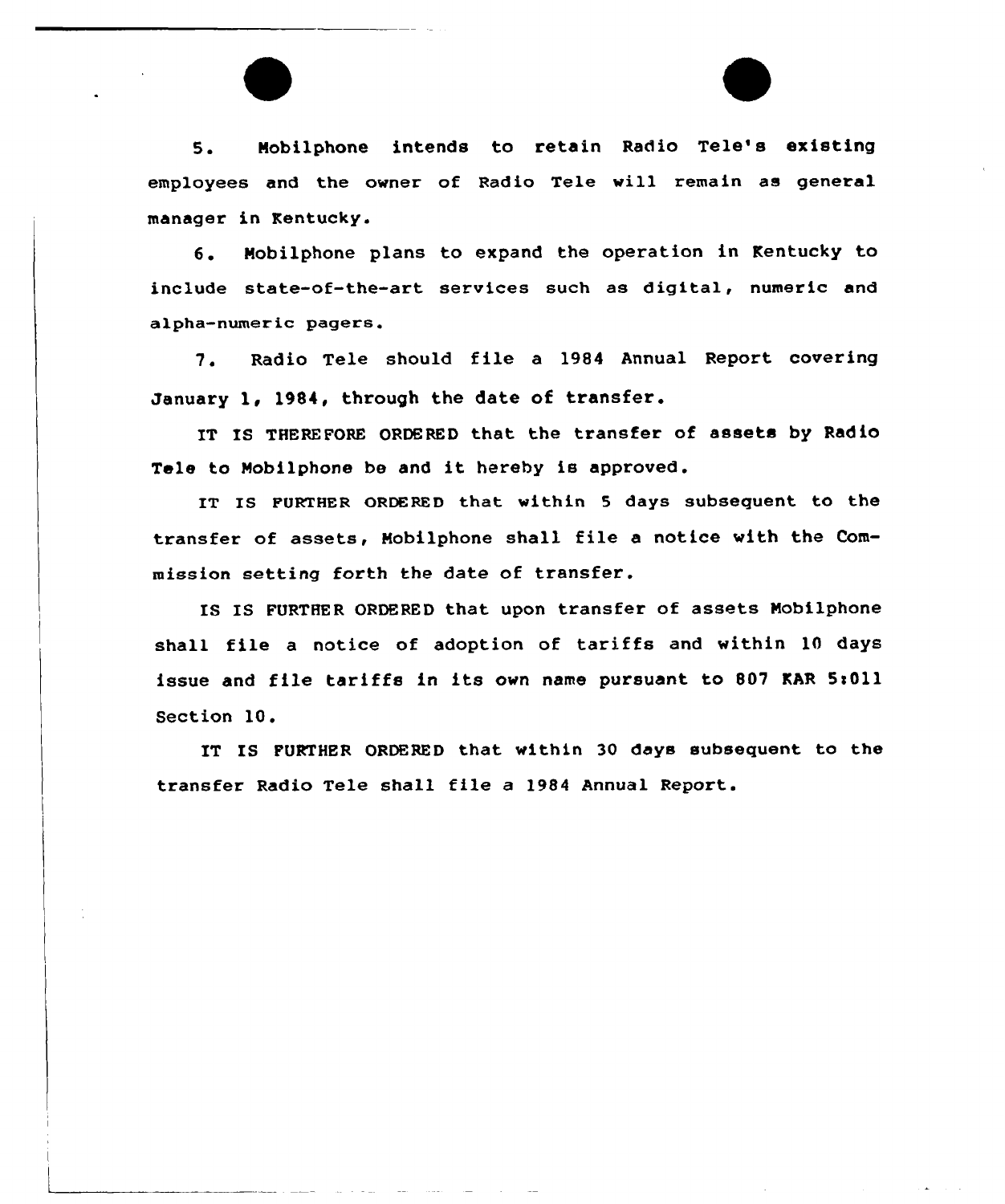5. Mobilphone intends to retain Radio Tele's existing employees and the owner of Radio Tele will remain as general manager in Kentucky.

6. Nobilphone plans to expand the operation in Kentucky to include state-of-the-art services such as digital, numeric and alpha-numeric pagers.

7. Radio Tele should file <sup>a</sup> <sup>1984</sup> Annual Report covering January 1, 1984, through the date of transfer.

IT IS THEREFORE ORDERED that the transfer of assets by Radio Tele to Mobilphone be and it hereby is approved.

IT Is FURTHER ORDERED that within <sup>5</sup> days subsequent to the transfer of assets, Mobilphone shall file <sup>a</sup> notice with the Commission setting forth the date of transfer.

IS IS FURTHER ORDERED that upon transfer of assets Nobilphone shall file <sup>a</sup> notice of adoption of tariffs and within 10 days issue and file tariffs in its own name pursuant to 807 KAR 5:011 Section 10.

IT IS FURTHER ORDERED that within 30 days subsequent to the transfer Radio Tele shall file a 1984 Annual Report.